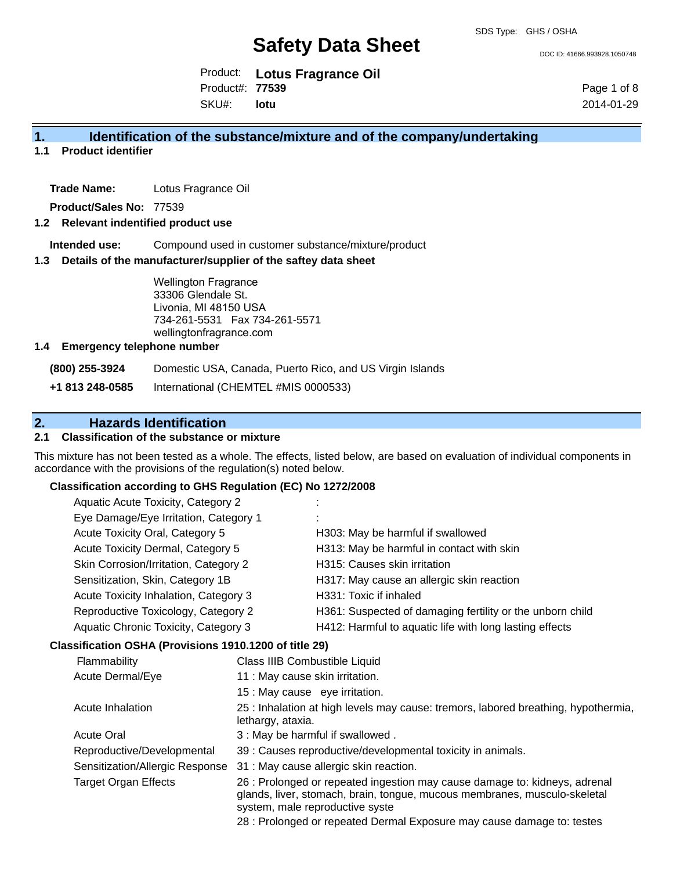DOC ID: 41666.993928.1050748

Product: **Lotus Fragrance Oil** SKU#: Product#: **77539 lotu**

Page 1 of 8 2014-01-29

## **1. Identification of the substance/mixture and of the company/undertaking**

### **1.1 Product identifier**

**Trade Name:** Lotus Fragrance Oil

**Product/Sales No:** 77539

#### **1.2 Relevant indentified product use**

**Intended use:** Compound used in customer substance/mixture/product

#### **1.3 Details of the manufacturer/supplier of the saftey data sheet**

Wellington Fragrance 33306 Glendale St. Livonia, MI 48150 USA 734-261-5531 Fax 734-261-5571 wellingtonfragrance.com

#### **1.4 Emergency telephone number**

**(800) 255-3924** Domestic USA, Canada, Puerto Rico, and US Virgin Islands

**+1 813 248-0585** International (CHEMTEL #MIS 0000533)

## **2. Hazards Identification**

### **2.1 Classification of the substance or mixture**

This mixture has not been tested as a whole. The effects, listed below, are based on evaluation of individual components in accordance with the provisions of the regulation(s) noted below.

#### **Classification according to GHS Regulation (EC) No 1272/2008**

| Aquatic Acute Toxicity, Category 2    |                                                           |
|---------------------------------------|-----------------------------------------------------------|
| Eye Damage/Eye Irritation, Category 1 |                                                           |
| Acute Toxicity Oral, Category 5       | H303: May be harmful if swallowed                         |
| Acute Toxicity Dermal, Category 5     | H313: May be harmful in contact with skin                 |
| Skin Corrosion/Irritation, Category 2 | H315: Causes skin irritation                              |
| Sensitization, Skin, Category 1B      | H317: May cause an allergic skin reaction                 |
| Acute Toxicity Inhalation, Category 3 | H331: Toxic if inhaled                                    |
| Reproductive Toxicology, Category 2   | H361: Suspected of damaging fertility or the unborn child |
| Aquatic Chronic Toxicity, Category 3  | H412: Harmful to aquatic life with long lasting effects   |
|                                       |                                                           |

#### **Classification OSHA (Provisions 1910.1200 of title 29)**

| <b>Flammability</b>             | Class IIIB Combustible Liquid                                                                                                                                                              |
|---------------------------------|--------------------------------------------------------------------------------------------------------------------------------------------------------------------------------------------|
| Acute Dermal/Eye                | 11 : May cause skin irritation.                                                                                                                                                            |
|                                 | 15 : May cause eye irritation.                                                                                                                                                             |
| Acute Inhalation                | 25 : Inhalation at high levels may cause: tremors, labored breathing, hypothermia,<br>lethargy, ataxia.                                                                                    |
| <b>Acute Oral</b>               | 3 : May be harmful if swallowed.                                                                                                                                                           |
| Reproductive/Developmental      | 39 : Causes reproductive/developmental toxicity in animals.                                                                                                                                |
| Sensitization/Allergic Response | 31 : May cause allergic skin reaction.                                                                                                                                                     |
| Target Organ Effects            | 26 : Prolonged or repeated ingestion may cause damage to: kidneys, adrenal<br>glands, liver, stomach, brain, tongue, mucous membranes, musculo-skeletal<br>system, male reproductive syste |
|                                 | 28 : Prolonged or repeated Dermal Exposure may cause damage to: testes                                                                                                                     |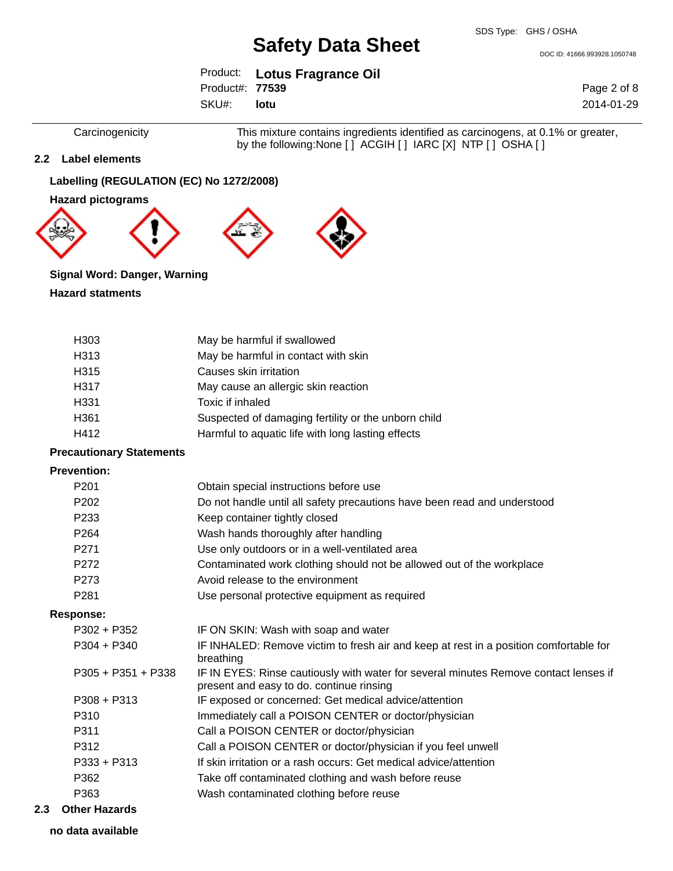DOC ID: 41666.993928.1050748

|                        | Product: Lotus Fragrance Oil |
|------------------------|------------------------------|
| Product#: <b>77539</b> |                              |
| SKU#: lotu             |                              |

Page 2 of 8 2014-01-29

Carcinogenicity This mixture contains ingredients identified as carcinogens, at 0.1% or greater, by the following:None [ ] ACGIH [ ] IARC [X] NTP [ ] OSHA [ ]

#### **2.2 Label elements**

### **Labelling (REGULATION (EC) No 1272/2008)**

**Hazard pictograms**







### **Signal Word: Danger, Warning**

#### **Hazard statments**

| H <sub>303</sub> | May be harmful if swallowed                         |
|------------------|-----------------------------------------------------|
| H313             | May be harmful in contact with skin                 |
| H <sub>315</sub> | Causes skin irritation                              |
| H317             | May cause an allergic skin reaction                 |
| H <sub>331</sub> | Toxic if inhaled                                    |
| H <sub>361</sub> | Suspected of damaging fertility or the unborn child |
| H412             | Harmful to aquatic life with long lasting effects   |

#### **Precautionary Statements**

#### **Prevention:**

| P <sub>201</sub>     | Obtain special instructions before use                                                                                           |
|----------------------|----------------------------------------------------------------------------------------------------------------------------------|
| P <sub>202</sub>     | Do not handle until all safety precautions have been read and understood                                                         |
| P <sub>233</sub>     | Keep container tightly closed                                                                                                    |
| P <sub>264</sub>     | Wash hands thoroughly after handling                                                                                             |
| P271                 | Use only outdoors or in a well-ventilated area                                                                                   |
| P <sub>272</sub>     | Contaminated work clothing should not be allowed out of the workplace                                                            |
| P273                 | Avoid release to the environment                                                                                                 |
| P <sub>281</sub>     | Use personal protective equipment as required                                                                                    |
| Response:            |                                                                                                                                  |
| $P302 + P352$        | IF ON SKIN: Wash with soap and water                                                                                             |
| $P304 + P340$        | IF INHALED: Remove victim to fresh air and keep at rest in a position comfortable for<br>breathing                               |
| $P305 + P351 + P338$ | IF IN EYES: Rinse cautiously with water for several minutes Remove contact lenses if<br>present and easy to do. continue rinsing |
| $P308 + P313$        | IF exposed or concerned: Get medical advice/attention                                                                            |
| P310                 | Immediately call a POISON CENTER or doctor/physician                                                                             |
| P311                 | Call a POISON CENTER or doctor/physician                                                                                         |
| P312                 | Call a POISON CENTER or doctor/physician if you feel unwell                                                                      |
| $P333 + P313$        | If skin irritation or a rash occurs: Get medical advice/attention                                                                |
| P362                 | Take off contaminated clothing and wash before reuse                                                                             |
| P363                 | Wash contaminated clothing before reuse                                                                                          |
|                      |                                                                                                                                  |

#### **2.3 Other Hazards**

**no data available**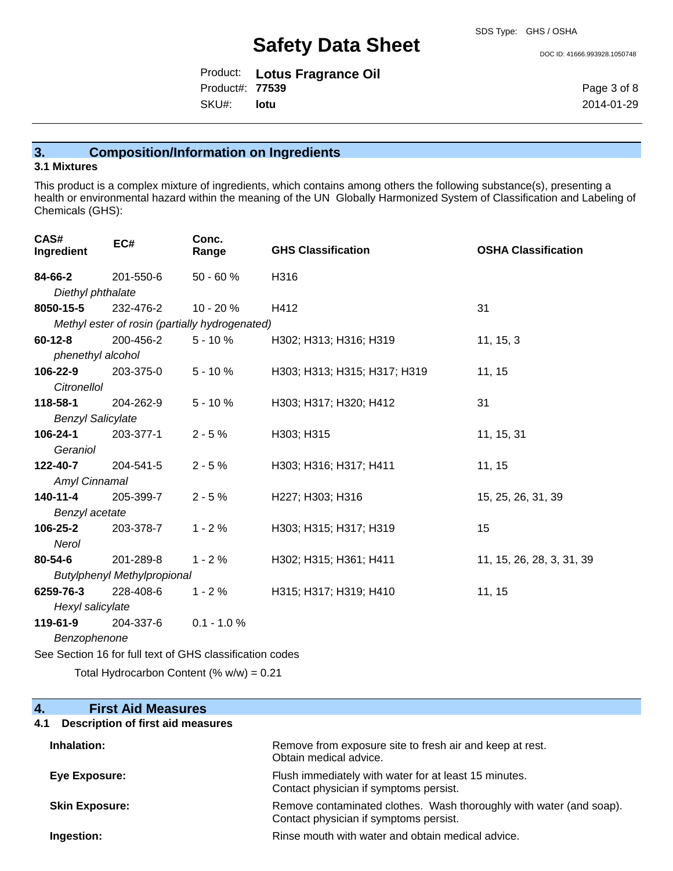DOC ID: 41666.993928.1050748

|                        | Product: Lotus Fragrance Oil |
|------------------------|------------------------------|
| Product#: <b>77539</b> |                              |
| SKU#: <b>lotu</b>      |                              |

Page 3 of 8 2014-01-29

## **3. Composition/Information on Ingredients**

#### **3.1 Mixtures**

This product is a complex mixture of ingredients, which contains among others the following substance(s), presenting a health or environmental hazard within the meaning of the UN Globally Harmonized System of Classification and Labeling of Chemicals (GHS):

| CAS#<br>Ingredient       | EC#                                | Conc.<br>Range                                           | <b>GHS Classification</b>    | <b>OSHA Classification</b> |
|--------------------------|------------------------------------|----------------------------------------------------------|------------------------------|----------------------------|
| 84-66-2                  | 201-550-6                          | $50 - 60%$                                               | H316                         |                            |
| Diethyl phthalate        |                                    |                                                          |                              |                            |
| 8050-15-5                | 232-476-2                          | 10 - 20 %                                                | H412                         | 31                         |
|                          |                                    | Methyl ester of rosin (partially hydrogenated)           |                              |                            |
| $60 - 12 - 8$            | 200-456-2                          | $5 - 10%$                                                | H302; H313; H316; H319       | 11, 15, 3                  |
| phenethyl alcohol        |                                    |                                                          |                              |                            |
| 106-22-9                 | 203-375-0                          | $5 - 10%$                                                | H303; H313; H315; H317; H319 | 11, 15                     |
| Citronellol              |                                    |                                                          |                              |                            |
| 118-58-1                 | 204-262-9                          | $5 - 10%$                                                | H303; H317; H320; H412       | 31                         |
| <b>Benzyl Salicylate</b> |                                    |                                                          |                              |                            |
| 106-24-1                 | 203-377-1                          | $2 - 5%$                                                 | H303; H315                   | 11, 15, 31                 |
| Geraniol                 |                                    |                                                          |                              |                            |
| 122-40-7                 | 204-541-5                          | $2 - 5%$                                                 | H303; H316; H317; H411       | 11, 15                     |
| Amyl Cinnamal            |                                    |                                                          |                              |                            |
| 140-11-4                 | 205-399-7                          | $2 - 5%$                                                 | H227; H303; H316             | 15, 25, 26, 31, 39         |
| Benzyl acetate           |                                    |                                                          |                              |                            |
| 106-25-2                 | 203-378-7                          | $1 - 2%$                                                 | H303; H315; H317; H319       | 15                         |
| Nerol                    |                                    |                                                          |                              |                            |
| 80-54-6                  | 201-289-8                          | $1 - 2%$                                                 | H302; H315; H361; H411       | 11, 15, 26, 28, 3, 31, 39  |
|                          | <b>Butylphenyl Methylpropional</b> |                                                          |                              |                            |
| 6259-76-3                | 228-408-6                          | $1 - 2%$                                                 | H315; H317; H319; H410       | 11, 15                     |
| Hexyl salicylate         |                                    |                                                          |                              |                            |
| 119-61-9                 | 204-337-6                          | $0.1 - 1.0 %$                                            |                              |                            |
| Benzophenone             |                                    |                                                          |                              |                            |
|                          |                                    | See Section 16 for full text of GHS classification codes |                              |                            |

Total Hydrocarbon Content  $(\% w/w) = 0.21$ 

# **4. First Aid Measures 4.1 Description of first aid measures Inhalation:** Remove from exposure site to fresh air and keep at rest. Obtain medical advice. **Eye Exposure:** Flush immediately with water for at least 15 minutes. Contact physician if symptoms persist. **Skin Exposure: Remove contaminated clothes. Wash thoroughly with water (and soap).** Remove contaminated clothes. Wash thoroughly with water (and soap). Contact physician if symptoms persist. **Ingestion: Rinse mouth with water and obtain medical advice. Rinse mouth with water and obtain medical advice.**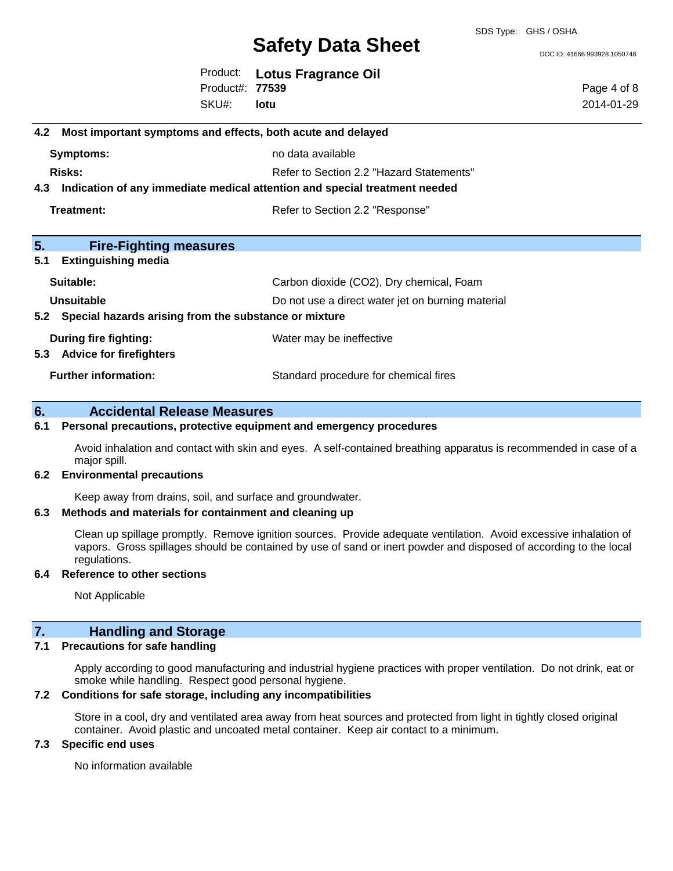SDS Type: GHS / OSHA

DOC ID: 41666.993928.1050748

|                        | Product: Lotus Fragrance Oil |
|------------------------|------------------------------|
| Product#: <b>77539</b> |                              |
| SKU#: lotu             |                              |

Page 4 of 8 2014-01-29

|     | 4.2 Most important symptoms and effects, both acute and delayed            |                                          |  |  |
|-----|----------------------------------------------------------------------------|------------------------------------------|--|--|
|     | Symptoms:                                                                  | no data available                        |  |  |
|     | <b>Risks:</b>                                                              | Refer to Section 2.2 "Hazard Statements" |  |  |
| 4.3 | Indication of any immediate medical attention and special treatment needed |                                          |  |  |
|     | Treatment:                                                                 | Refer to Section 2.2 "Response"          |  |  |
|     |                                                                            |                                          |  |  |
| 5.  | <b>Fire-Fighting measures</b>                                              |                                          |  |  |
| 5.1 | <b>Extinguishing media</b>                                                 |                                          |  |  |
|     | Suitable:                                                                  | Carbon dioxide (CO2), Dry chemical, Foam |  |  |
|     | Unsuitable<br>Do not use a direct water jet on burning material            |                                          |  |  |
|     | 5.2 Special hazards arising from the substance or mixture                  |                                          |  |  |
|     | During fire fighting:                                                      | Water may be ineffective                 |  |  |
|     | 5.3 Advice for firefighters                                                |                                          |  |  |
|     | <b>Further information:</b>                                                | Standard procedure for chemical fires    |  |  |
|     |                                                                            |                                          |  |  |

# **6. Accidental Release Measures**

## **6.1 Personal precautions, protective equipment and emergency procedures**

Avoid inhalation and contact with skin and eyes. A self-contained breathing apparatus is recommended in case of a major spill.

### **6.2 Environmental precautions**

Keep away from drains, soil, and surface and groundwater.

## **6.3 Methods and materials for containment and cleaning up**

Clean up spillage promptly. Remove ignition sources. Provide adequate ventilation. Avoid excessive inhalation of vapors. Gross spillages should be contained by use of sand or inert powder and disposed of according to the local regulations.

### **6.4 Reference to other sections**

Not Applicable

# **7. Handling and Storage**

### **7.1 Precautions for safe handling**

Apply according to good manufacturing and industrial hygiene practices with proper ventilation. Do not drink, eat or smoke while handling. Respect good personal hygiene.

# **7.2 Conditions for safe storage, including any incompatibilities**

Store in a cool, dry and ventilated area away from heat sources and protected from light in tightly closed original container. Avoid plastic and uncoated metal container. Keep air contact to a minimum.

### **7.3 Specific end uses**

No information available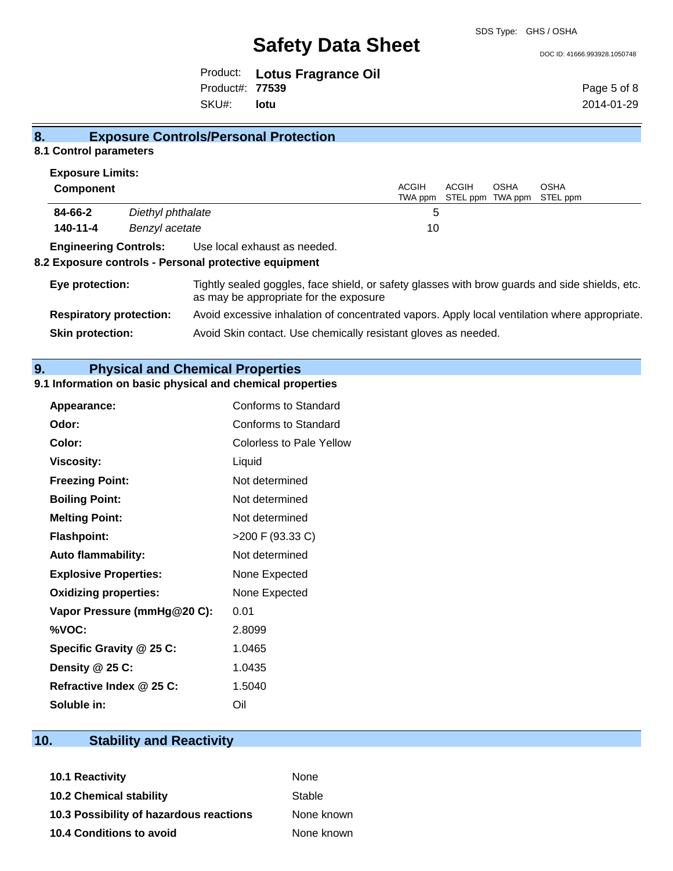SDS Type: GHS / OSHA

DOC ID: 41666.993928.1050748

Product: **Lotus Fragrance Oil** SKU#: Product#: **77539 lotu**

Page 5 of 8 2014-01-29

# **8. Exposure Controls/Personal Protection**

#### **8.1 Control parameters Exposure Limits:**

| <b>EXPOSURE LIMITS:</b>        |                   |                                                                                                                                          |              |       |             |                           |
|--------------------------------|-------------------|------------------------------------------------------------------------------------------------------------------------------------------|--------------|-------|-------------|---------------------------|
| <b>Component</b>               |                   |                                                                                                                                          | <b>ACGIH</b> | ACGIH | <b>OSHA</b> | <b>OSHA</b>               |
|                                |                   |                                                                                                                                          | TWA ppm      |       |             | STEL ppm TWA ppm STEL ppm |
| 84-66-2                        | Diethyl phthalate |                                                                                                                                          | 5            |       |             |                           |
| 140-11-4                       | Benzyl acetate    |                                                                                                                                          | 10           |       |             |                           |
| <b>Engineering Controls:</b>   |                   | Use local exhaust as needed.                                                                                                             |              |       |             |                           |
|                                |                   | 8.2 Exposure controls - Personal protective equipment                                                                                    |              |       |             |                           |
| Eye protection:                |                   | Tightly sealed goggles, face shield, or safety glasses with brow guards and side shields, etc.<br>as may be appropriate for the exposure |              |       |             |                           |
| <b>Respiratory protection:</b> |                   | Avoid excessive inhalation of concentrated vapors. Apply local ventilation where appropriate.                                            |              |       |             |                           |
| <b>Skin protection:</b>        |                   | Avoid Skin contact. Use chemically resistant gloves as needed.                                                                           |              |       |             |                           |

### **9. Physical and Chemical Properties**

## **9.1 Information on basic physical and chemical properties**

| Appearance:                  | Conforms to Standard            |
|------------------------------|---------------------------------|
| Odor:                        | Conforms to Standard            |
| Color:                       | <b>Colorless to Pale Yellow</b> |
| <b>Viscosity:</b>            | Liquid                          |
| <b>Freezing Point:</b>       | Not determined                  |
| <b>Boiling Point:</b>        | Not determined                  |
| <b>Melting Point:</b>        | Not determined                  |
| <b>Flashpoint:</b>           | >200 F (93.33 C)                |
| <b>Auto flammability:</b>    | Not determined                  |
| <b>Explosive Properties:</b> | None Expected                   |
| <b>Oxidizing properties:</b> | None Expected                   |
| Vapor Pressure (mmHg@20 C):  | 0.01                            |
| %VOC:                        | 2.8099                          |
| Specific Gravity @ 25 C:     | 1.0465                          |
| Density @ 25 C:              | 1.0435                          |
| Refractive Index @ 25 C:     | 1.5040                          |
| Soluble in:                  | Oil                             |

# **10. Stability and Reactivity**

| <b>10.1 Reactivity</b>                  | None       |
|-----------------------------------------|------------|
| <b>10.2 Chemical stability</b>          | Stable     |
| 10.3 Possibility of hazardous reactions | None known |
| 10.4 Conditions to avoid                | None known |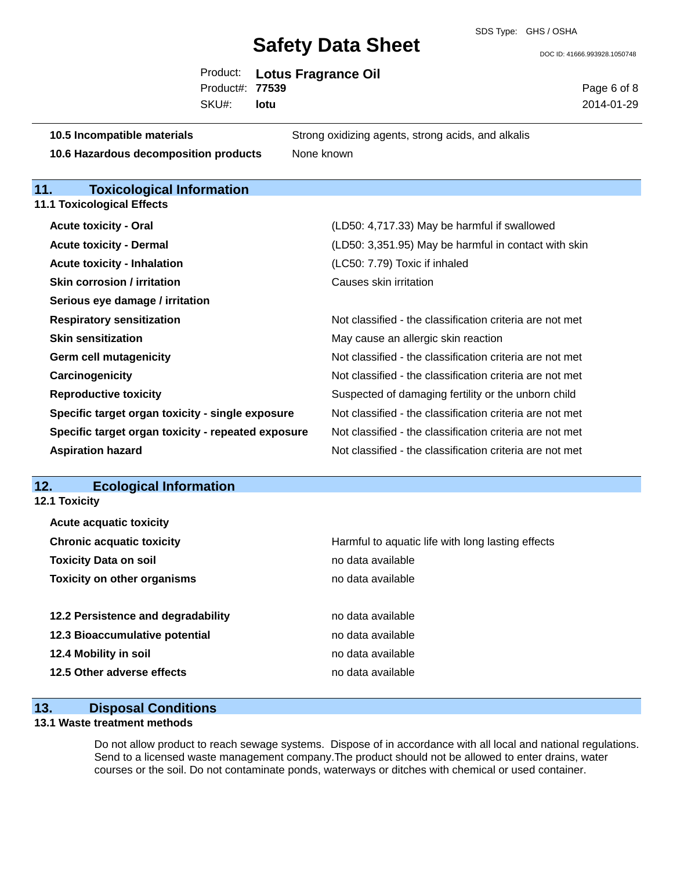SDS Type: GHS / OSHA

DOC ID: 41666.993928.1050748

|                        | Product: Lotus Fragrance Oil |
|------------------------|------------------------------|
| Product#: <b>77539</b> |                              |
| SKU#: lotu             |                              |

Page 6 of 8 2014-01-29

| 10.5 Incompatible materials           | Strong oxidizing agents, strong acids, and alkalis |
|---------------------------------------|----------------------------------------------------|
| 10.6 Hazardous decomposition products | None known                                         |

# **11. Toxicological Information**

**11.1 Toxicological Effects**

| <b>Acute toxicity - Oral</b>                       | (LD50: 4,717.33) May be harmful if swallowed             |
|----------------------------------------------------|----------------------------------------------------------|
| <b>Acute toxicity - Dermal</b>                     | (LD50: 3,351.95) May be harmful in contact with skin     |
| <b>Acute toxicity - Inhalation</b>                 | (LC50: 7.79) Toxic if inhaled                            |
| Skin corrosion / irritation                        | Causes skin irritation                                   |
| Serious eye damage / irritation                    |                                                          |
| <b>Respiratory sensitization</b>                   | Not classified - the classification criteria are not met |
| <b>Skin sensitization</b>                          | May cause an allergic skin reaction                      |
| <b>Germ cell mutagenicity</b>                      | Not classified - the classification criteria are not met |
| Carcinogenicity                                    | Not classified - the classification criteria are not met |
| <b>Reproductive toxicity</b>                       | Suspected of damaging fertility or the unborn child      |
| Specific target organ toxicity - single exposure   | Not classified - the classification criteria are not met |
| Specific target organ toxicity - repeated exposure | Not classified - the classification criteria are not met |
| <b>Aspiration hazard</b>                           | Not classified - the classification criteria are not met |

## **12. Ecological Information**

| 82 Z.T<br>LUUIUUIUAI IIIIUI IIIAUUII |                                                   |
|--------------------------------------|---------------------------------------------------|
| <b>12.1 Toxicity</b>                 |                                                   |
| <b>Acute acquatic toxicity</b>       |                                                   |
| <b>Chronic acquatic toxicity</b>     | Harmful to aquatic life with long lasting effects |
| <b>Toxicity Data on soil</b>         | no data available                                 |
| <b>Toxicity on other organisms</b>   | no data available                                 |
| 12.2 Persistence and degradability   | no data available                                 |
| 12.3 Bioaccumulative potential       | no data available                                 |
| 12.4 Mobility in soil                | no data available                                 |
| 12.5 Other adverse effects           | no data available                                 |

## **13. Disposal Conditions**

### **13.1 Waste treatment methods**

Do not allow product to reach sewage systems. Dispose of in accordance with all local and national regulations. Send to a licensed waste management company.The product should not be allowed to enter drains, water courses or the soil. Do not contaminate ponds, waterways or ditches with chemical or used container.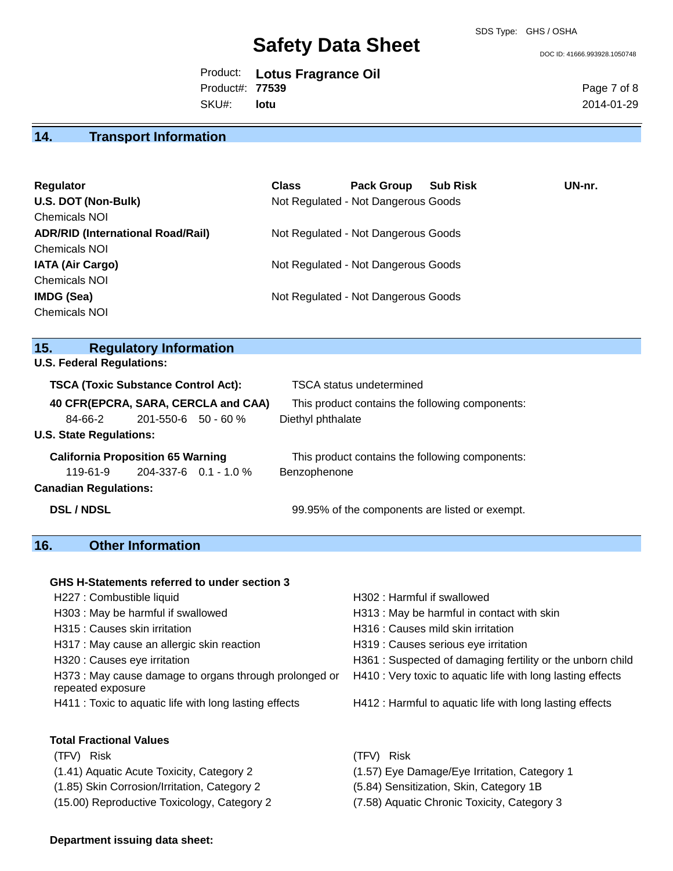DOC ID: 41666.993928.1050748

Product: **Lotus Fragrance Oil** SKU#: Product#: **77539 lotu**

Page 7 of 8 2014-01-29

## **14. Transport Information**

| Regulator                                | <b>Class</b> | <b>Pack Group</b>                   | <b>Sub Risk</b> | UN-nr. |
|------------------------------------------|--------------|-------------------------------------|-----------------|--------|
| U.S. DOT (Non-Bulk)                      |              | Not Regulated - Not Dangerous Goods |                 |        |
| <b>Chemicals NOI</b>                     |              |                                     |                 |        |
| <b>ADR/RID (International Road/Rail)</b> |              | Not Regulated - Not Dangerous Goods |                 |        |
| <b>Chemicals NOI</b>                     |              |                                     |                 |        |
| <b>IATA (Air Cargo)</b>                  |              | Not Regulated - Not Dangerous Goods |                 |        |
| <b>Chemicals NOI</b>                     |              |                                     |                 |        |
| <b>IMDG (Sea)</b>                        |              | Not Regulated - Not Dangerous Goods |                 |        |
| <b>Chemicals NOI</b>                     |              |                                     |                 |        |

| 15.                              |          | <b>Regulatory Information</b>              |                                     |                                                 |
|----------------------------------|----------|--------------------------------------------|-------------------------------------|-------------------------------------------------|
| <b>U.S. Federal Regulations:</b> |          |                                            |                                     |                                                 |
|                                  |          | <b>TSCA (Toxic Substance Control Act):</b> |                                     | <b>TSCA</b> status undetermined                 |
|                                  |          |                                            | 40 CFR(EPCRA, SARA, CERCLA and CAA) | This product contains the following components: |
|                                  | 84-66-2  | $201 - 550 - 6$ 50 - 60 %                  |                                     | Diethyl phthalate                               |
| <b>U.S. State Regulations:</b>   |          |                                            |                                     |                                                 |
|                                  |          | <b>California Proposition 65 Warning</b>   |                                     | This product contains the following components: |
|                                  | 119-61-9 | 204-337-6  0.1 - 1.0 %                     |                                     | Benzophenone                                    |
| <b>Canadian Regulations:</b>     |          |                                            |                                     |                                                 |
| <b>DSL / NDSL</b>                |          |                                            |                                     | 99.95% of the components are listed or exempt.  |

# **16. Other Information**

#### **GHS H-Statements referred to under section 3**

H227 : Combustible liquid H302 : Harmful if swallowed H303 : May be harmful if swallowed H313 : May be harmful in contact with skin H315 : Causes skin irritation et al. (a) H316 : Causes mild skin irritation H317 : May cause an allergic skin reaction **H319** : Causes serious eye irritation H373 : May cause damage to organs through prolonged or repeated exposure

#### **Total Fractional Values**

(TFV) Risk (TFV) Risk (1.85) Skin Corrosion/Irritation, Category 2 (5.84) Sensitization, Skin, Category 1B (15.00) Reproductive Toxicology, Category 2 (7.58) Aquatic Chronic Toxicity, Category 3

- 
- 
- 
- 
- H320 : Causes eye irritation **H361** : Suspected of damaging fertility or the unborn child
	- H410 : Very toxic to aquatic life with long lasting effects
- H411 : Toxic to aquatic life with long lasting effects H412 : Harmful to aquatic life with long lasting effects
	-
- (1.41) Aquatic Acute Toxicity, Category 2 (1.57) Eye Damage/Eye Irritation, Category 1
	-
	-

#### **Department issuing data sheet:**